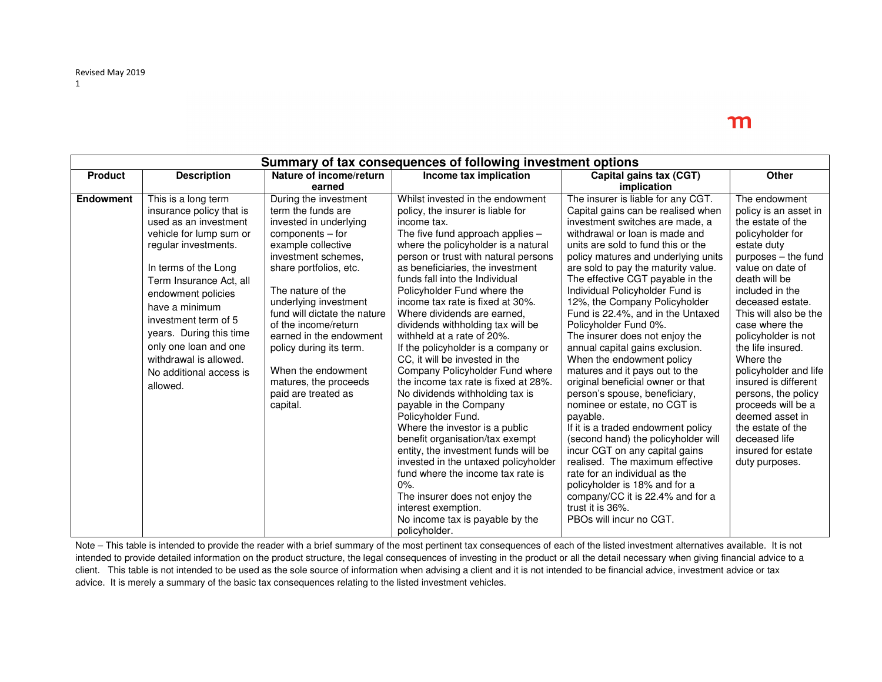| Summary of tax consequences of following investment options |                          |                              |                                                                              |                                                                   |                                       |
|-------------------------------------------------------------|--------------------------|------------------------------|------------------------------------------------------------------------------|-------------------------------------------------------------------|---------------------------------------|
| <b>Product</b>                                              | <b>Description</b>       | Nature of income/return      | Income tax implication                                                       | Capital gains tax (CGT)                                           | <b>Other</b>                          |
|                                                             |                          | earned                       |                                                                              | implication                                                       |                                       |
| <b>Endowment</b>                                            | This is a long term      | During the investment        | Whilst invested in the endowment                                             | The insurer is liable for any CGT.                                | The endowment                         |
|                                                             | insurance policy that is | term the funds are           | policy, the insurer is liable for                                            | Capital gains can be realised when                                | policy is an asset in                 |
|                                                             | used as an investment    | invested in underlying       | income tax.                                                                  | investment switches are made, a                                   | the estate of the                     |
|                                                             | vehicle for lump sum or  | $components - for$           | The five fund approach applies $-$                                           | withdrawal or loan is made and                                    | policyholder for                      |
|                                                             | regular investments.     | example collective           | where the policyholder is a natural                                          | units are sold to fund this or the                                | estate duty                           |
|                                                             |                          | investment schemes.          | person or trust with natural persons                                         | policy matures and underlying units                               | purposes – the fund                   |
|                                                             | In terms of the Long     | share portfolios, etc.       | as beneficiaries, the investment                                             | are sold to pay the maturity value.                               | value on date of                      |
|                                                             | Term Insurance Act, all  |                              | funds fall into the Individual                                               | The effective CGT payable in the                                  | death will be                         |
|                                                             | endowment policies       | The nature of the            | Policyholder Fund where the                                                  | Individual Policyholder Fund is                                   | included in the                       |
|                                                             | have a minimum           | underlying investment        | income tax rate is fixed at 30%.                                             | 12%, the Company Policyholder                                     | deceased estate.                      |
|                                                             | investment term of 5     | fund will dictate the nature | Where dividends are earned,                                                  | Fund is 22.4%, and in the Untaxed                                 | This will also be the                 |
|                                                             | years. During this time  | of the income/return         | dividends withholding tax will be                                            | Policyholder Fund 0%.                                             | case where the                        |
|                                                             |                          | earned in the endowment      | withheld at a rate of 20%.                                                   | The insurer does not enjoy the                                    | policyholder is not                   |
|                                                             | only one loan and one    | policy during its term.      | If the policyholder is a company or                                          | annual capital gains exclusion.                                   | the life insured.                     |
|                                                             | withdrawal is allowed.   |                              | CC, it will be invested in the                                               | When the endowment policy                                         | Where the                             |
|                                                             | No additional access is  | When the endowment           | Company Policyholder Fund where                                              | matures and it pays out to the                                    | policyholder and life                 |
|                                                             | allowed.                 | matures, the proceeds        | the income tax rate is fixed at 28%.                                         | original beneficial owner or that                                 | insured is different                  |
|                                                             |                          | paid are treated as          | No dividends withholding tax is                                              | person's spouse, beneficiary,                                     | persons, the policy                   |
|                                                             |                          | capital.                     | payable in the Company                                                       | nominee or estate, no CGT is                                      | proceeds will be a<br>deemed asset in |
|                                                             |                          |                              | Policyholder Fund.                                                           | payable.                                                          |                                       |
|                                                             |                          |                              | Where the investor is a public                                               | If it is a traded endowment policy                                | the estate of the<br>deceased life    |
|                                                             |                          |                              | benefit organisation/tax exempt                                              | (second hand) the policyholder will                               | insured for estate                    |
|                                                             |                          |                              | entity, the investment funds will be<br>invested in the untaxed policyholder | incur CGT on any capital gains<br>realised. The maximum effective | duty purposes.                        |
|                                                             |                          |                              | fund where the income tax rate is                                            | rate for an individual as the                                     |                                       |
|                                                             |                          |                              | 0%                                                                           | policyholder is 18% and for a                                     |                                       |
|                                                             |                          |                              | The insurer does not enjoy the                                               | company/CC it is 22.4% and for a                                  |                                       |
|                                                             |                          |                              | interest exemption.                                                          | trust it is 36%.                                                  |                                       |
|                                                             |                          |                              | No income tax is payable by the                                              | PBOs will incur no CGT.                                           |                                       |
|                                                             |                          |                              | policyholder.                                                                |                                                                   |                                       |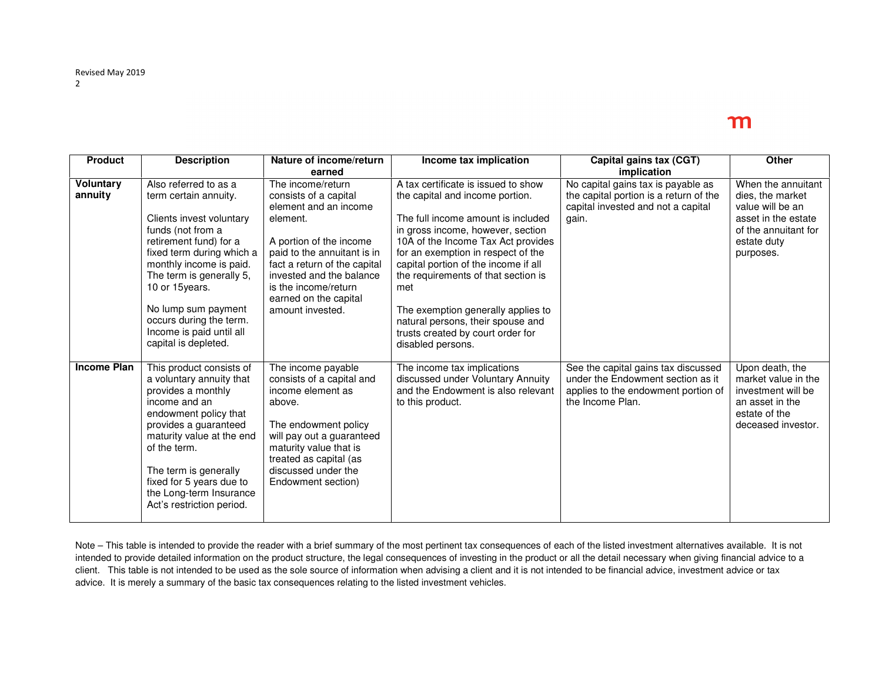| <b>Product</b>              | <b>Description</b>                                                                                                                                                                                                                                                                                                                     | Nature of income/return<br>earned                                                                                                                                                                                                                                          | Income tax implication                                                                                                                                                                                                                                                                                                                                                                                                                                   | Capital gains tax (CGT)<br>implication                                                                                              | Other                                                                                                                                 |
|-----------------------------|----------------------------------------------------------------------------------------------------------------------------------------------------------------------------------------------------------------------------------------------------------------------------------------------------------------------------------------|----------------------------------------------------------------------------------------------------------------------------------------------------------------------------------------------------------------------------------------------------------------------------|----------------------------------------------------------------------------------------------------------------------------------------------------------------------------------------------------------------------------------------------------------------------------------------------------------------------------------------------------------------------------------------------------------------------------------------------------------|-------------------------------------------------------------------------------------------------------------------------------------|---------------------------------------------------------------------------------------------------------------------------------------|
| <b>Voluntary</b><br>annuity | Also referred to as a<br>term certain annuity.<br>Clients invest voluntary<br>funds (not from a<br>retirement fund) for a<br>fixed term during which a<br>monthly income is paid.<br>The term is generally 5,<br>10 or 15 years.<br>No lump sum payment<br>occurs during the term.<br>Income is paid until all<br>capital is depleted. | The income/return<br>consists of a capital<br>element and an income<br>element.<br>A portion of the income<br>paid to the annuitant is in<br>fact a return of the capital<br>invested and the balance<br>is the income/return<br>earned on the capital<br>amount invested. | A tax certificate is issued to show<br>the capital and income portion.<br>The full income amount is included<br>in gross income, however, section<br>10A of the Income Tax Act provides<br>for an exemption in respect of the<br>capital portion of the income if all<br>the requirements of that section is<br>met<br>The exemption generally applies to<br>natural persons, their spouse and<br>trusts created by court order for<br>disabled persons. | No capital gains tax is payable as<br>the capital portion is a return of the<br>capital invested and not a capital<br>gain.         | When the annuitant<br>dies, the market<br>value will be an<br>asset in the estate<br>of the annuitant for<br>estate duty<br>purposes. |
| <b>Income Plan</b>          | This product consists of<br>a voluntary annuity that<br>provides a monthly<br>income and an<br>endowment policy that<br>provides a guaranteed<br>maturity value at the end<br>of the term.<br>The term is generally<br>fixed for 5 years due to<br>the Long-term Insurance<br>Act's restriction period.                                | The income payable<br>consists of a capital and<br>income element as<br>above.<br>The endowment policy<br>will pay out a guaranteed<br>maturity value that is<br>treated as capital (as<br>discussed under the<br>Endowment section)                                       | The income tax implications<br>discussed under Voluntary Annuity<br>and the Endowment is also relevant<br>to this product.                                                                                                                                                                                                                                                                                                                               | See the capital gains tax discussed<br>under the Endowment section as it<br>applies to the endowment portion of<br>the Income Plan. | Upon death, the<br>market value in the<br>investment will be<br>an asset in the<br>estate of the<br>deceased investor.                |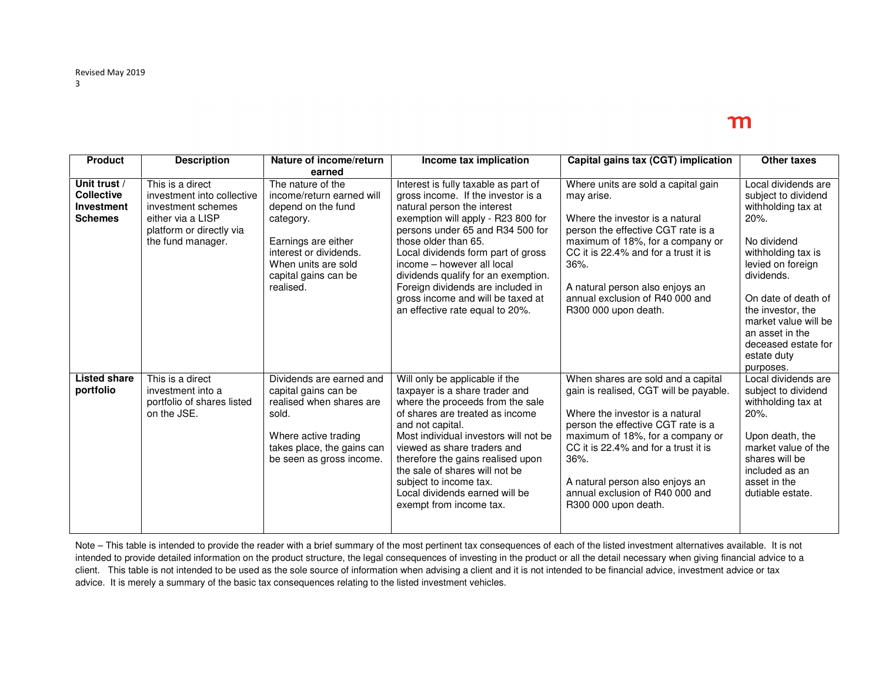| <b>Product</b>                                                           | <b>Description</b>                                                                                                                         | Nature of income/return<br>earned                                                                                                                                                              | Income tax implication                                                                                                                                                                                                                                                                                                                                                                                                              | Capital gains tax (CGT) implication                                                                                                                                                                                                                                                                                                        | Other taxes                                                                                                                                                                                                                                                                                   |
|--------------------------------------------------------------------------|--------------------------------------------------------------------------------------------------------------------------------------------|------------------------------------------------------------------------------------------------------------------------------------------------------------------------------------------------|-------------------------------------------------------------------------------------------------------------------------------------------------------------------------------------------------------------------------------------------------------------------------------------------------------------------------------------------------------------------------------------------------------------------------------------|--------------------------------------------------------------------------------------------------------------------------------------------------------------------------------------------------------------------------------------------------------------------------------------------------------------------------------------------|-----------------------------------------------------------------------------------------------------------------------------------------------------------------------------------------------------------------------------------------------------------------------------------------------|
| Unit trust /<br><b>Collective</b><br><b>Investment</b><br><b>Schemes</b> | This is a direct<br>investment into collective<br>investment schemes<br>either via a LISP<br>platform or directly via<br>the fund manager. | The nature of the<br>income/return earned will<br>depend on the fund<br>category.<br>Earnings are either<br>interest or dividends.<br>When units are sold<br>capital gains can be<br>realised. | Interest is fully taxable as part of<br>gross income. If the investor is a<br>natural person the interest<br>exemption will apply - R23 800 for<br>persons under 65 and R34 500 for<br>those older than 65.<br>Local dividends form part of gross<br>income - however all local<br>dividends qualify for an exemption.<br>Foreign dividends are included in<br>gross income and will be taxed at<br>an effective rate equal to 20%. | Where units are sold a capital gain<br>may arise.<br>Where the investor is a natural<br>person the effective CGT rate is a<br>maximum of 18%, for a company or<br>CC it is 22.4% and for a trust it is<br>36%.<br>A natural person also enjoys an<br>annual exclusion of R40 000 and<br>R300 000 upon death.                               | Local dividends are<br>subject to dividend<br>withholding tax at<br>$20%$ .<br>No dividend<br>withholding tax is<br>levied on foreign<br>dividends.<br>On date of death of<br>the investor, the<br>market value will be<br>an asset in the<br>deceased estate for<br>estate duty<br>purposes. |
| <b>Listed share</b><br>portfolio                                         | This is a direct<br>investment into a<br>portfolio of shares listed<br>on the JSE.                                                         | Dividends are earned and<br>capital gains can be<br>realised when shares are<br>sold.<br>Where active trading<br>takes place, the gains can<br>be seen as gross income.                        | Will only be applicable if the<br>taxpayer is a share trader and<br>where the proceeds from the sale<br>of shares are treated as income<br>and not capital.<br>Most individual investors will not be<br>viewed as share traders and<br>therefore the gains realised upon<br>the sale of shares will not be<br>subject to income tax.<br>Local dividends earned will be<br>exempt from income tax.                                   | When shares are sold and a capital<br>gain is realised, CGT will be payable.<br>Where the investor is a natural<br>person the effective CGT rate is a<br>maximum of 18%, for a company or<br>CC it is 22.4% and for a trust it is<br>$36%$ .<br>A natural person also enjoys an<br>annual exclusion of R40 000 and<br>R300 000 upon death. | Local dividends are<br>subject to dividend<br>withholding tax at<br>20%.<br>Upon death, the<br>market value of the<br>shares will be<br>included as an<br>asset in the<br>dutiable estate.                                                                                                    |